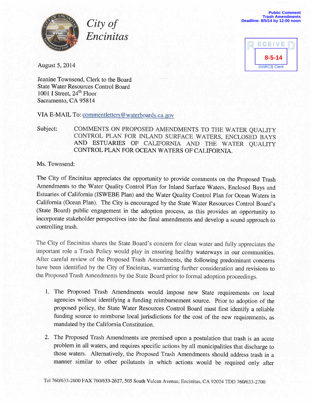

**Public Comment Trash Amendments Deadline: 8/5/14 by 12:00 noon**



August 5, 2014

Jeanine Townsend, Clerk to the Board State Water Resources Control Board 1001 I Street, 24<sup>th</sup> Floor Sacramento, CA 95814

VIA E-MAIL To: commentletters@waterboards.ca.gov

City of

Encinitas

## Subject: COMMENTS ON PROPOSED AMENDMENTS TO THE WATER QUALITY CONTROL PLAN FOR INLAND SURFACE WATERS, ENCLOSED BAYS AND ESTUARIES OF CALIFORNIA AND THE WATER QUALITY CONTROL PLAN FOR OCEAN WATERS OF CALIFORNIA.

Ms. Townsend:

The City of Encinitas appreciates the opportunity to provide comments on the Proposed Trash Amendments to the Water Quality Control Plan for Inland Surface Waters, Enclosed Bays and Estuaries of California (ISWEBE Plan) and the Water Quality Control Plan for Ocean Waters in California (Ocean Plan). The City is encouraged by the State Water Resources Control Board's (State Board) public engagement in the adoption process, as this provides an opportunity to incorporate stakeholder perspectives into the final amendments and develop a sound approach to controlling trash.

The City of Encinitas shares the State Board's concern for clean water and fully appreciates the important role a Trash Policy would play in ensuring healthy waterways in our communities. After careful review of the Proposed Trash Amendments, the following predominant concerns have been identified by the City of Encinitas, warranting further consideration and revisions to the Proposed Trash Amendments by the State Board prior to formal adoption proceedings.

- 1. The Proposed Trash Amendments would impose new State requirements on local agencies without identifying a funding reimbursement source. Prior to adoption of the proposed policy, the State Water Resources Control Board must first identify a reliable funding source to reimburse local jurisdictions for the cost of the new requirements, as mandated by the California Constitution.
- 2. The Proposed Trash Amendments are premised upon a postulation that trash is an acute problem in all waters, and requires specific actions by all municipalities that discharge to those waters. Alternatively, the Proposed Trash Amendments should address trash in a manner similar to other pollutants in which actions would be required only after